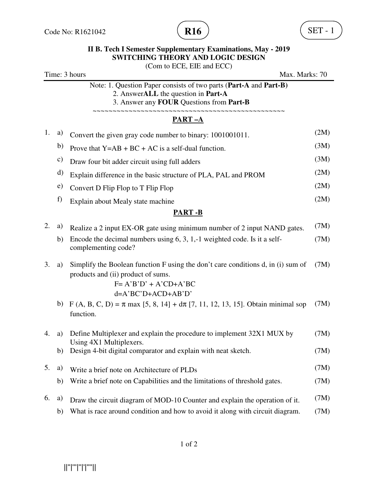

|                                                              |               | <b>II B. Tech I Semester Supplementary Examinations, May - 2019</b><br><b>SWITCHING THEORY AND LOGIC DESIGN</b>                                                            |      |
|--------------------------------------------------------------|---------------|----------------------------------------------------------------------------------------------------------------------------------------------------------------------------|------|
| (Com to ECE, EIE and ECC)<br>Time: 3 hours<br>Max. Marks: 70 |               |                                                                                                                                                                            |      |
|                                                              |               | Note: 1. Question Paper consists of two parts (Part-A and Part-B)<br>2. AnswerALL the question in Part-A<br>3. Answer any FOUR Questions from Part-B                       |      |
|                                                              |               | ~~~~~~~~~~~~~~~~~~<br>PART-A                                                                                                                                               |      |
| 1.                                                           | a)            | Convert the given gray code number to binary: 1001001011.                                                                                                                  | (2M) |
|                                                              | b)            | Prove that $Y=AB+BC+AC$ is a self-dual function.                                                                                                                           | (3M) |
|                                                              | $\mathbf{c})$ | Draw four bit adder circuit using full adders                                                                                                                              | (3M) |
|                                                              | d)            | Explain difference in the basic structure of PLA, PAL and PROM                                                                                                             | (2M) |
|                                                              | e)            | Convert D Flip Flop to T Flip Flop                                                                                                                                         | (2M) |
|                                                              | f)            | Explain about Mealy state machine                                                                                                                                          | (2M) |
|                                                              |               | <b>PART-B</b>                                                                                                                                                              |      |
| 2.                                                           | a)            | Realize a 2 input EX-OR gate using minimum number of 2 input NAND gates.                                                                                                   | (7M) |
|                                                              | b)            | Encode the decimal numbers using $6, 3, 1, -1$ weighted code. Is it a self-<br>complementing code?                                                                         | (7M) |
| 3.                                                           | a)            | Simplify the Boolean function F using the don't care conditions d, in (i) sum of<br>products and (ii) product of sums.<br>$F = A'B'D' + A'CD+A'BC$<br>$d=A'BC'D+ACD+AB'D'$ | (7M) |
|                                                              |               | b) F (A, B, C, D) = $\pi$ max [5, 8, 14] + $d\pi$ [7, 11, 12, 13, 15]. Obtain minimal sop<br>function.                                                                     | (7M) |
| 4.                                                           | a)            | Define Multiplexer and explain the procedure to implement 32X1 MUX by<br>Using 4X1 Multiplexers.                                                                           | (7M) |
|                                                              | b)            | Design 4-bit digital comparator and explain with neat sketch.                                                                                                              | (7M) |
| 5.                                                           | a)            | Write a brief note on Architecture of PLDs                                                                                                                                 | (7M) |
|                                                              | b)            | Write a brief note on Capabilities and the limitations of threshold gates.                                                                                                 | (7M) |
| 6.                                                           | a)            | Draw the circuit diagram of MOD-10 Counter and explain the operation of it.                                                                                                | (7M) |
|                                                              | $\mathbf{b}$  | What is race around condition and how to avoid it along with circuit diagram.                                                                                              | (7M) |